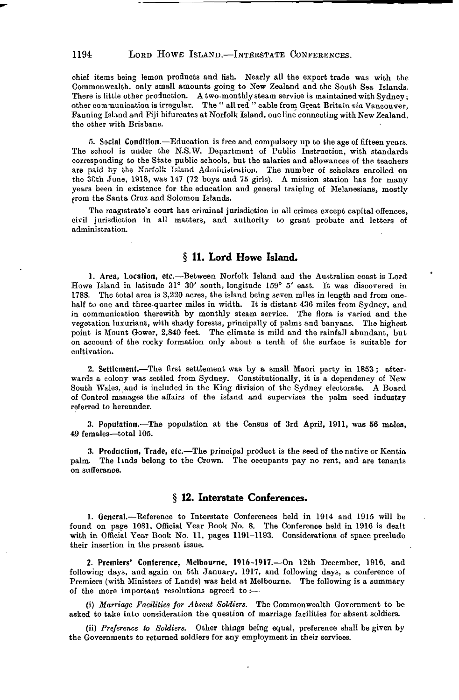## 1194 LORD HOWE ISLAND.—INTERSTATE CONFERENCES.

chief items being lemon products and fish. Nearly all the export trade was with the Commonwealth, only small amounts going to New Zealand and the South Sea Islands. There is little other production. A two-monthly steam service is maintained with Sydney; other conmunication is irregular. The " all red " cable from Great Britain *via* Vancouver, Fanning Island and Fiji bifurcates at Norfolk Island, one line connecting with New Zealand, the other with Brisbane.

5. Social Condition.—Education is free and compulsory up to the age of fifteen years. The school is under the N.S.W. Department of Public Instruction, with standards corresponding to the State public schools, but the salaries and allowances of the teachers are paid by the Norfolk Island Administration. The number of scholars enrolled on the 3Cth June, 1918, was 147 (72 boys and 75 girls). A mission station has for many years been in existence for the education and general training of Melanesians, mostly from the Santa Cruz and Solomon Islands.

The magistrate's court has criminal jurisdiction in all crimes except capital offences, civil jurisdiction in all matters, and authority to grant probate and letters of administration.

## **§ 11. Lord Howe Island.**

1. Area, Location, etc.—Between Norfolk Island and the Australian coast is Lord Howe Island in latitude 31° 30' south, longitude 159° 5' east. It was discovered in 1788. The total area is 3,220 acres, the island being seven miles in length and from onehalf to one and three-quarter miles in width. It is distant 436 miles from Sydney, and in communication therewith by monthly steam service. The flora is varied and the vegetation luxuriant, with shady forests, principally of palms and banyans. The highest point is Mount Gower, 2,840 feet. The climate is mild and the rainfall abundant, but on account of the rocky formation only about a tenth of the surface is suitable for cultivation.

2. Settlement.—The first settlement was by a small Maori party in 1853; afterwards a colony was settled from Sydney. Constitutionally, it is a dependency of New South Wales, and is included in the King division of the Sydney electorate. A Board of Control manages the affairs of the island and supervises the palm seed industry referred to hereunder.

3. Population.—The population at the Census of 3rd April, 1911, was 56 males, 49 females—total 105.

3. Production, Trade, etc.—The principal product is the seed of the native or Kentia palm. The linds belong to the Crown. The occupants pay no rent, and are tenants on sufferance.

## **§ 12. Interstate Conferences.**

1. General.—Reference to Interstate Conferences held in 1914 and 1915 will be found on page 1081, Official Year Book No. 8. The Conference held in 1916 is dealt with in Official Year Book No. 11, pages 1191-1193. Considerations of space preclude their insertion in the present issue.

2. Premiers' Conference, Melbourne, 1916-1917.—On 12th December, 1916, and following days, and again on 5th January, 1917, and following days, a conference of Premiers (with Ministers of Lands) was held at Melbourne. The following is a summary of the more important resolutions agreed to :—

(i) *Marriage Facilities for Absent Soldiers.* The Commonwealth Government to be asked to take into consideration the question of marriage facilities for absent soldiers.

(ii) *Preference to Soldiers.* Other things being equal, preference shall be given by the Governments to returned soldiers for any employment in their services.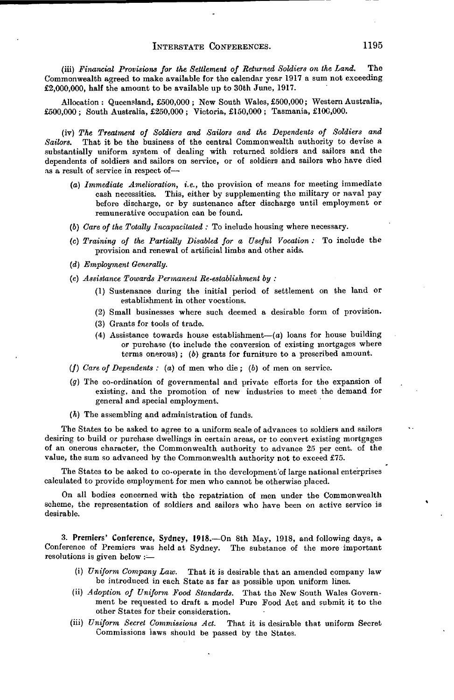(iii) Financial Provisions for the Settlement of Returned Soldiers on the Land. The Commonwealth agreed to make available for the calendar year 1917 a sum not exceeding £2,000,000, half the amount to be available up to 30th June, 1917.

Allocation: Queensland, £500,000 ; New South Wales, £500,000; Western Australia, £500,000 ; South Australia, £250,000 ; Victoria, £150,000 ; Tasmania, £100,000.

(iv) *The Treatment of Soldiers and Sailors and the Dependents of Soldiers and Sailors.* That it be the business of the central Commonwealth authority to devise a substantially uniform system of dealing with returned soldiers and sailors and the dependents of soldiers and sailors on service, or of soldiers and sailors who have died as a result of service in respect of—

- (a) *Immediate Amelioration, i.e.,* the provision of means for meeting immediate cash necessities. This, either by supplementing the military or naval pay before discharge, or by sustenance after discharge until employment or remunerative occupation can be found.
- (6) *Care of the Totally Incapacitated :* To include housing where necessary.
- (c) *Training of the Partially Disabled for a Useful Vocation :* To include the provision and renewal of artificial limbs and other aids.
- *(d) Employment Generally.*
- *(e) Assistance Towards Permanent Re-establishment by :*
	- (1) Sustenance during the initial period of settlement on the land or establishment in other vocations.
	- (2) Small businesses where such deemed a desirable form of provision.
	- (3) Grants for tools of trade.
	- (4) Assistance towards house establishment— $(a)$  loans for house building or purchase (to include the conversion of existing mortgages where terms onerous); (b) grants for furniture to a prescribed amount.
- (/) *Care of Dependents :* (a) of men who die; (6) of men on service.
- *(g)* The co-ordination of governmental and private efforts for the expansion of existing, and the promotion of new industries to meet the demand for general and special employment.
- *(h)* The assembling and administration of funds.

The States to be asked to agree to a uniform scale of advances to soldiers and sailors desiring to build or purchase dwellings in certain areas, or to convert existing mortgages of an onerous character, the Commonwealth authority to advance 25 per cent, of the value, the sum so advanced by the Commonwealth authority not to exceed £75.

The States to be asked to co-operate in the development of large national enterprises calculated to provide employment for men who cannot be otherwise placed.

On all bodies concerned with the repatriation of men under the Commonwealth scheme, the representation of soldiers and sailors who have been on active service is desirable.

3. Premiers' Conference, Sydney, 1918.—On 8th May, 1918, and following days, a Conference of Premiers was held at Sydney. The substance of the more important resolutions is given below :-

- (i) *Uniform Company Law.* That it is desirable that an amended company law be introduced in each State as far as possible upon uniform lines.
- (ii) *Adoption of Uniform Food Standards.* That the New South Wales Government be requested to draft a model Pure Food Act and submit it to the other States for their consideration.
- (iii) *Uniform Secret Commissions Act.* That it is desirable that uniform Secret Commissions laws should be passed by the States.